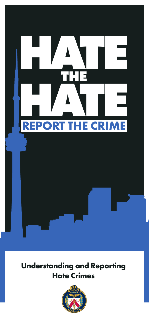

### **Understanding and Reporting Hate Crimes**

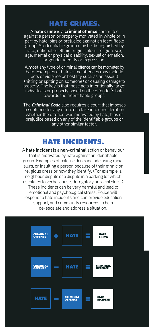#### **HATE CRIMES.**

A hate crime is a criminal offence committed against a person or property motivated in whole or in part by hate, bias or prejudice against an identifiable group. An identifiable group may be distinguished by race, national or ethnic origin, colour, religion, sex, age, mental or physical disability, sexual orientation, or gender identity or expression.

Almost any type of criminal offence can be motivated by hate. Examples of hate crime offences may include acts of violence or hostility such as an assault (hitting or spitting on someone) or causing damage to property. The key is that these acts intentionally target individuals or property based on the offender's hate towards the "identifiable group".

The *Criminal Code* also requires a court that imposes a sentence for any offence to take into consideration whether the offence was motivated by hate, bias or prejudice based on any of the identifiable groups or any other similar factor.

#### **HATE INCIDENTS.**

A hate incident is a non-criminal action or behaviour that is motivated by hate against an identifiable group. Examples of hate incidents include using racial slurs, or insulting a person because of their ethnic or religious dress or how they identify. (For example, a neighbour dispute or a dispute in a parking lot which escalates to verbal abuse, derogatory or racial slurs.) These incidents can be very harmful and lead to emotional and psychological stress. Police will respond to hate incidents and can provide education, support, and community resources to help de-escalate and address a situation.

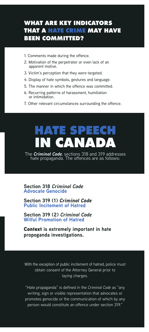#### **WHAT ARE KEY INDICATORS THAT A HATE CRIME MAY HAVE BEEN COMMITTED?**

- 1. Comments made during the offence.
- 2. Motivation of the perpetrator or even lack of an apparent motive.
- 3. Victim's perception that they were targeted.
- 4. Display of hate symbols, gestures and language.
- 5. The manner in which the offence was committed.
- 6. Recurring patterns of harassment, humiliation or intimidation.
- 7. Other relevant circumstances surrounding the offence.

## **HATE SPEECH IN CANADA**

The *Criminal Code*, sections 318 and 319 addresses hate propaganda. The offences are as follows:

**Section 318** *Criminal Code* **Advocate Genocide**

**Section 319 (1)** *Criminal Code* **Public Incitement of Hatred** 

**Section 319 (2)** *Criminal Code* **Wilful Promotion of Hatred** 

Context **is extremely important in hate propoganda investigations.**

With the exception of public incitement of hatred, police must obtain consent of the Attorney General prior to laying charges.

"Hate propaganda" is defined in the *Criminal Code* as "any writing, sign or visible representation that advocates or promotes genocide or the communication of which by any person would constitute an offence under section 319."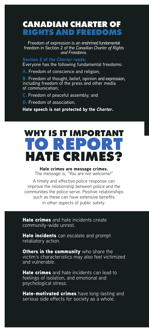#### **CANADIAN CHARTER OF RIGHTS AND FREEDOMS**

Freedom of expression is an enshrined fundamental freedom in Section 2 of the *Canadian Charter of Rights and Freedoms*.

Section 2 of the *Charter* reads: Everyone has the following fundamental freedoms:

A. Freedom of conscience and religion;

**B.** Freedom of thought, belief, opinion and expression, including freedom of the press and other media of communication;

C. Freedom of peaceful assembly; and

D. Freedom of association.

Hate speech is not protected by the *Charter*.

### **WHY IS IT IMPORTA TO REPORT HATE CRIMES?**

Hate crimes are message crimes. The message is, "You are not welcome!"

A timely and effective police response can improve the relationship between police and the communities the police serve. Positive relationships such as these can have extensive benefits in other aspects of public safety.

Hate crimes and hate incidents create community-wide unrest.

Hate incidents can escalate and prompt retaliatory action.

Others in the community who share the victim's characteristics may also feel victimized and vulnerable.

Hate crimes and hate incidents can lead to feelings of isolation, and emotional and psychological stress.

Hate-motivated crimes have long-lasting and serious side effects for society as a whole.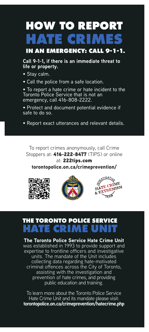# **HOW TO REPORT HATE CRIMES**

 **IN AN EMERGENCY: CALL 9-1-1.**

**Call 9-1-1, if there is an immediate threat to life or property.**

- Stay calm.
- Call the police from a safe location.

• To report a hate crime or hate incident to the Toronto Police Service that is not an emergency, call 416-808-2222.

• Protect and document potential evidence if safe to do so.

• Report exact utterances and relevant details.

To report crimes anonymously, call Crime Stoppers at: 416-222-8477 (TIPS) or online

at: 222tips.com torontopolice.on.ca/crimeprevention/







### **THE TORONTO POLICE SERVICE HATE CRIME UNIT**

The Toronto Police Service Hate Crime Unit was established in 1993 to provide support and expertise to frontline officers and investigative units. The mandate of the Unit includes collecting data regarding hate-motivated criminal offences across the City of Toronto, assisting with the investigation and prevention of hate crimes, and providing public education and training.

To learn more about the Toronto Police Service Hate Crime Unit and its mandate please visit: **torontopolice.on.ca/crimeprevention/hatecrime.php**